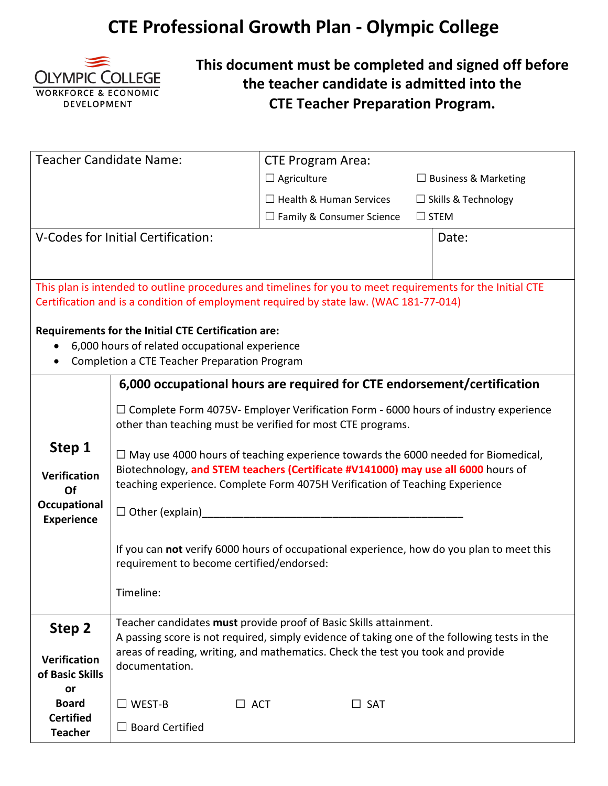## **CTE Professional Growth Plan - Olympic College**



**This document must be completed and signed off before the teacher candidate is admitted into the CTE Teacher Preparation Program.**

| <b>Teacher Candidate Name:</b>    |                                                                                                                                                                   | <b>CTE Program Area:</b>                                                                 |               |                             |  |
|-----------------------------------|-------------------------------------------------------------------------------------------------------------------------------------------------------------------|------------------------------------------------------------------------------------------|---------------|-----------------------------|--|
|                                   |                                                                                                                                                                   | $\Box$ Agriculture                                                                       |               | $\Box$ Business & Marketing |  |
|                                   |                                                                                                                                                                   | $\Box$ Health & Human Services                                                           |               | $\Box$ Skills & Technology  |  |
|                                   |                                                                                                                                                                   | $\Box$ Family & Consumer Science                                                         |               | $\Box$ STEM                 |  |
|                                   | V-Codes for Initial Certification:                                                                                                                                |                                                                                          |               | Date:                       |  |
|                                   |                                                                                                                                                                   |                                                                                          |               |                             |  |
|                                   |                                                                                                                                                                   |                                                                                          |               |                             |  |
|                                   | This plan is intended to outline procedures and timelines for you to meet requirements for the Initial CTE                                                        |                                                                                          |               |                             |  |
|                                   | Certification and is a condition of employment required by state law. (WAC 181-77-014)                                                                            |                                                                                          |               |                             |  |
|                                   | <b>Requirements for the Initial CTE Certification are:</b>                                                                                                        |                                                                                          |               |                             |  |
|                                   | 6,000 hours of related occupational experience                                                                                                                    |                                                                                          |               |                             |  |
|                                   | Completion a CTE Teacher Preparation Program                                                                                                                      |                                                                                          |               |                             |  |
|                                   | 6,000 occupational hours are required for CTE endorsement/certification                                                                                           |                                                                                          |               |                             |  |
|                                   | $\Box$ Complete Form 4075V- Employer Verification Form - 6000 hours of industry experience                                                                        |                                                                                          |               |                             |  |
|                                   | other than teaching must be verified for most CTE programs.                                                                                                       |                                                                                          |               |                             |  |
| Step 1                            |                                                                                                                                                                   |                                                                                          |               |                             |  |
|                                   |                                                                                                                                                                   | $\Box$ May use 4000 hours of teaching experience towards the 6000 needed for Biomedical, |               |                             |  |
| <b>Verification</b>               | Biotechnology, and STEM teachers (Certificate #V141000) may use all 6000 hours of<br>teaching experience. Complete Form 4075H Verification of Teaching Experience |                                                                                          |               |                             |  |
| Of                                |                                                                                                                                                                   |                                                                                          |               |                             |  |
| Occupational<br><b>Experience</b> | $\Box$ Other (explain) $\Box$                                                                                                                                     |                                                                                          |               |                             |  |
|                                   |                                                                                                                                                                   |                                                                                          |               |                             |  |
|                                   | If you can not verify 6000 hours of occupational experience, how do you plan to meet this                                                                         |                                                                                          |               |                             |  |
|                                   | requirement to become certified/endorsed:                                                                                                                         |                                                                                          |               |                             |  |
|                                   | Timeline:                                                                                                                                                         |                                                                                          |               |                             |  |
|                                   |                                                                                                                                                                   |                                                                                          |               |                             |  |
| Step 2                            | Teacher candidates must provide proof of Basic Skills attainment.                                                                                                 |                                                                                          |               |                             |  |
|                                   | A passing score is not required, simply evidence of taking one of the following tests in the                                                                      |                                                                                          |               |                             |  |
| <b>Verification</b>               | areas of reading, writing, and mathematics. Check the test you took and provide<br>documentation.                                                                 |                                                                                          |               |                             |  |
| of Basic Skills                   |                                                                                                                                                                   |                                                                                          |               |                             |  |
| or<br><b>Board</b>                | $\Box$ WEST-B<br>$\Box$ ACT                                                                                                                                       |                                                                                          | $\square$ SAT |                             |  |
| <b>Certified</b>                  |                                                                                                                                                                   |                                                                                          |               |                             |  |
| <b>Teacher</b>                    | <b>Board Certified</b><br>$\Box$                                                                                                                                  |                                                                                          |               |                             |  |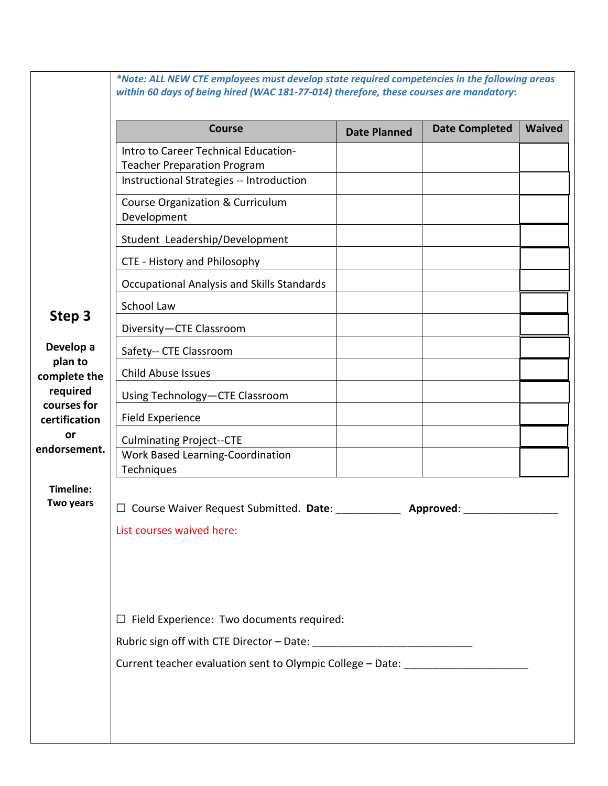|                         | <b>Course</b>                                                                    | <b>Date Planned</b> | <b>Date Completed</b> | <b>Waived</b> |  |  |
|-------------------------|----------------------------------------------------------------------------------|---------------------|-----------------------|---------------|--|--|
|                         | Intro to Career Technical Education-                                             |                     |                       |               |  |  |
|                         | <b>Teacher Preparation Program</b><br>Instructional Strategies -- Introduction   |                     |                       |               |  |  |
|                         | Course Organization & Curriculum<br>Development                                  |                     |                       |               |  |  |
|                         | Student Leadership/Development                                                   |                     |                       |               |  |  |
|                         | CTE - History and Philosophy                                                     |                     |                       |               |  |  |
|                         | Occupational Analysis and Skills Standards                                       |                     |                       |               |  |  |
|                         | School Law                                                                       |                     |                       |               |  |  |
| Step 3                  | Diversity-CTE Classroom                                                          |                     |                       |               |  |  |
| Develop a<br>plan to    | Safety-- CTE Classroom                                                           |                     |                       |               |  |  |
| complete the            | <b>Child Abuse Issues</b>                                                        |                     |                       |               |  |  |
| required<br>courses for | Using Technology-CTE Classroom                                                   |                     |                       |               |  |  |
| certification           | Field Experience                                                                 |                     |                       |               |  |  |
| endorsement.            | <b>Culminating Project--CTE</b>                                                  |                     |                       |               |  |  |
|                         | Work Based Learning-Coordination<br>Techniques                                   |                     |                       |               |  |  |
| Timeline:               |                                                                                  |                     |                       |               |  |  |
| Two years               | Course Waiver Request Submitted. Date:<br>Approved:                              |                     |                       |               |  |  |
|                         | List courses waived here:                                                        |                     |                       |               |  |  |
|                         |                                                                                  |                     |                       |               |  |  |
|                         |                                                                                  |                     |                       |               |  |  |
|                         |                                                                                  |                     |                       |               |  |  |
|                         | $\Box$ Field Experience: Two documents required:                                 |                     |                       |               |  |  |
|                         |                                                                                  |                     |                       |               |  |  |
|                         |                                                                                  |                     |                       |               |  |  |
|                         | Current teacher evaluation sent to Olympic College - Date: _____________________ |                     |                       |               |  |  |